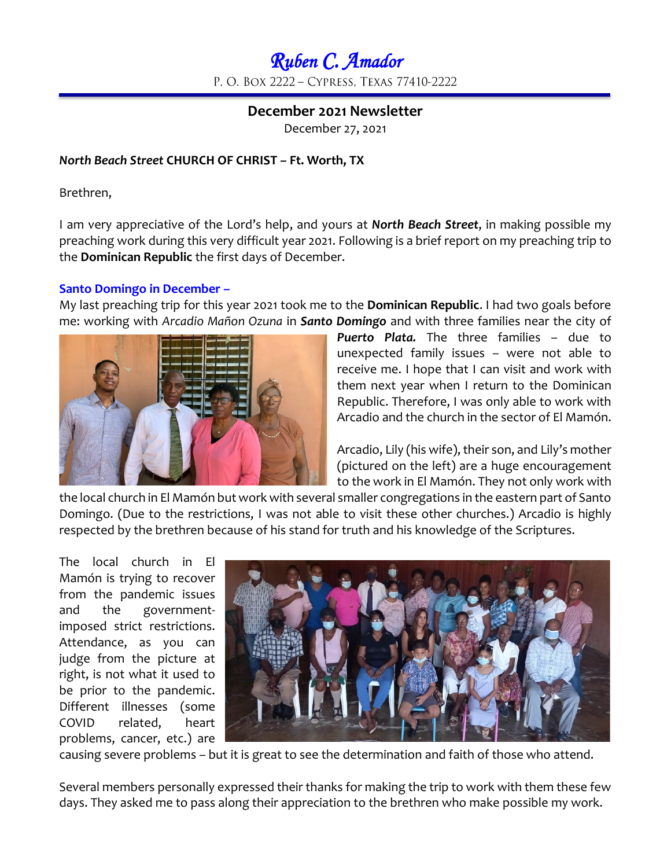# *Ruben C. Amador*  P. O. BOX 2222 - CYPRESS, TEXAS 77410-2222

# **December 2021 Newsletter**

December 27, 2021

## *North Beach Street* **CHURCH OF CHRIST – Ft. Worth, TX**

Brethren,

I am very appreciative of the Lord's help, and yours at *North Beach Street*, in making possible my preaching work during this very difficult year 2021. Following is a brief report on my preaching trip to the **Dominican Republic** the first days of December.

#### **Santo Domingo in December –**

My last preaching trip for this year 2021 took me to the **Dominican Republic**. I had two goals before me: working with *Arcadio Mañon Ozuna* in *Santo Domingo* and with three families near the city of



*Puerto Plata.* The three families – due to unexpected family issues – were not able to receive me. I hope that I can visit and work with them next year when I return to the Dominican Republic. Therefore, I was only able to work with Arcadio and the church in the sector of El Mamón.

Arcadio, Lily (his wife), their son, and Lily's mother (pictured on the left) are a huge encouragement to the work in El Mamón. They not only work with

the local church in El Mamón but work with several smaller congregations in the eastern part of Santo Domingo. (Due to the restrictions, I was not able to visit these other churches.) Arcadio is highly respected by the brethren because of his stand for truth and his knowledge of the Scriptures.

The local church in El Mamón is trying to recover from the pandemic issues and the governmentimposed strict restrictions. Attendance, as you can judge from the picture at right, is not what it used to be prior to the pandemic. Different illnesses (some COVID related, heart problems, cancer, etc.) are



causing severe problems – but it is great to see the determination and faith of those who attend.

Several members personally expressed their thanks for making the trip to work with them these few days. They asked me to pass along their appreciation to the brethren who make possible my work.